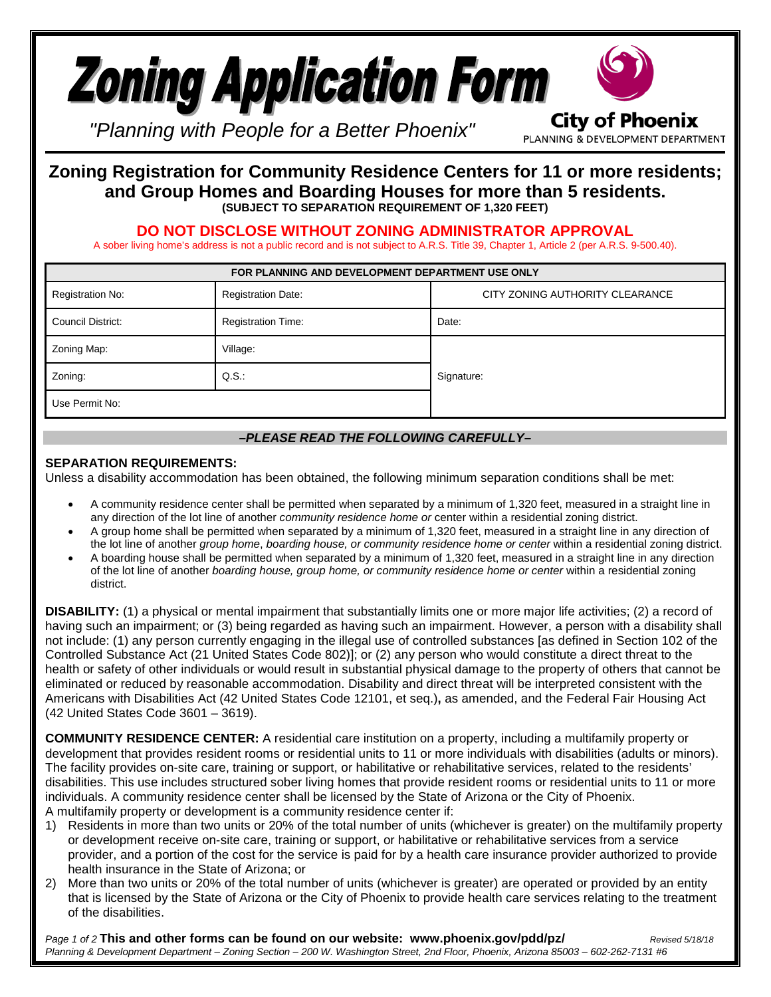

PLANNING & DEVELOPMENT DEPARTMENT

*"Planning with People for a Better Phoenix"*

## **Zoning Registration for Community Residence Centers for 11 or more residents; and Group Homes and Boarding Houses for more than 5 residents. (SUBJECT TO SEPARATION REQUIREMENT OF 1,320 FEET)**

**DO NOT DISCLOSE WITHOUT ZONING ADMINISTRATOR APPROVAL**

A sober living home's address is not a public record and is not subject to A.R.S. Title 39, Chapter 1, Article 2 (per A.R.S. 9-500.40).

| FOR PLANNING AND DEVELOPMENT DEPARTMENT USE ONLY |                           |                                 |
|--------------------------------------------------|---------------------------|---------------------------------|
| Registration No:                                 | <b>Registration Date:</b> | CITY ZONING AUTHORITY CLEARANCE |
| Council District:                                | <b>Registration Time:</b> | Date:                           |
| Zoning Map:                                      | Village:                  |                                 |
| Zoning:                                          | $Q.S.$ :                  | Signature:                      |
| Use Permit No:                                   |                           |                                 |

## *–PLEASE READ THE FOLLOWING CAREFULLY–*

## **SEPARATION REQUIREMENTS:**

Unless a disability accommodation has been obtained, the following minimum separation conditions shall be met:

- A community residence center shall be permitted when separated by a minimum of 1,320 feet, measured in a straight line in any direction of the lot line of another *community residence home or* center within a residential zoning district.
- A group home shall be permitted when separated by a minimum of 1,320 feet, measured in a straight line in any direction of the lot line of another *group home*, *boarding house, or community residence home or center* within a residential zoning district.
- A boarding house shall be permitted when separated by a minimum of 1,320 feet, measured in a straight line in any direction of the lot line of another *boarding house, group home, or community residence home or center* within a residential zoning district.

**DISABILITY:** (1) a physical or mental impairment that substantially limits one or more major life activities; (2) a record of having such an impairment; or (3) being regarded as having such an impairment. However, a person with a disability shall not include: (1) any person currently engaging in the illegal use of controlled substances [as defined in Section [102](http://www.codepublishing.com/az/phoenix/html/PhoenixZ01/PhoenixZ0102.html#102) of the Controlled Substance Act [\(21](http://www.law.cornell.edu/uscode/text/21) United States Code [802\)](http://www.law.cornell.edu/uscode/text/21/802)]; or (2) any person who would constitute a direct threat to the health or safety of other individuals or would result in substantial physical damage to the property of others that cannot be eliminated or reduced by [reasonable accommodation.](https://www.law.cornell.edu/definitions/index.php?width=840&height=800&iframe=true&def_id=e3f2627d443885840d63fe7bb3ca2385&term_occur=13&term_src=Title:29:Subtitle:B:Chapter:XIV:Part:1630:1630.2) Disability and direct threat will be interpreted consistent with the Americans with Disabilities Act (42 United States Code 12101, et seq.)**,** as amended, and the Federal Fair Housing Act (42 United States Code 3601 – 3619).

**COMMUNITY RESIDENCE CENTER:** A residential care institution on a property, including a multifamily property or development that provides resident rooms or residential units to 11 or more individuals with disabilities (adults or minors). The facility provides on-site care, training or support, or habilitative or rehabilitative services, related to the residents' disabilities. This use includes structured sober living homes that provide resident rooms or residential units to 11 or more individuals. A community residence center shall be licensed by the State of Arizona or the City of Phoenix. A multifamily property or development is a community residence center if:

- 1) Residents in more than two units or 20% of the total number of units (whichever is greater) on the multifamily property or development receive on-site care, training or support, or habilitative or rehabilitative services from a service provider, and a portion of the cost for the service is paid for by a health care insurance provider authorized to provide health insurance in the State of Arizona; or
- 2) More than two units or 20% of the total number of units (whichever is greater) are operated or provided by an entity that is licensed by the State of Arizona or the City of Phoenix to provide health care services relating to the treatment of the disabilities.

*Page 1 of 2* **This and other forms can be found on our website: www.phoenix.gov/pdd/pz/** *Revised 5/18/18 Planning & Development Department – Zoning Section – 200 W. Washington Street, 2nd Floor, Phoenix, Arizona 85003 – 602-262-7131 #6*